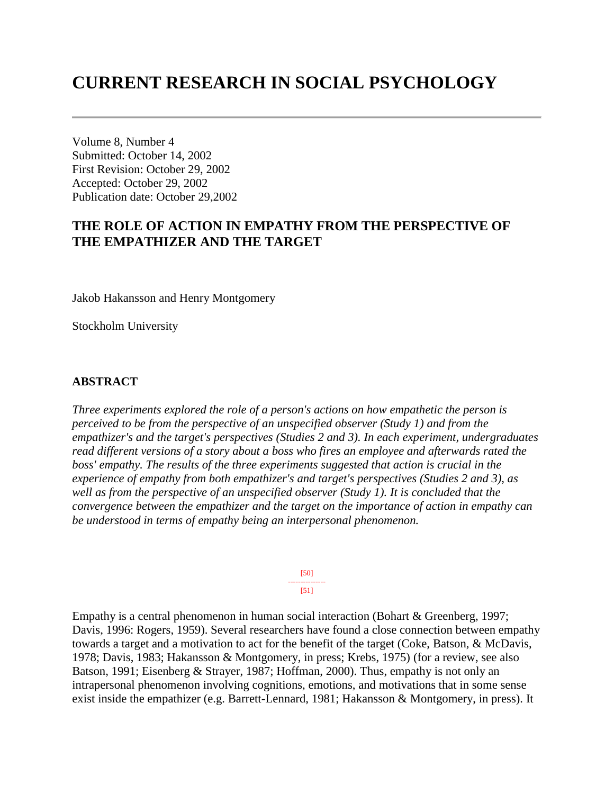# **CURRENT RESEARCH IN SOCIAL PSYCHOLOGY**

Volume 8, Number 4 Submitted: October 14, 2002 First Revision: October 29, 2002 Accepted: October 29, 2002 Publication date: October 29,2002

# **THE ROLE OF ACTION IN EMPATHY FROM THE PERSPECTIVE OF THE EMPATHIZER AND THE TARGET**

Jakob Hakansson and Henry Montgomery

Stockholm University

#### **ABSTRACT**

*Three experiments explored the role of a person's actions on how empathetic the person is perceived to be from the perspective of an unspecified observer (Study 1) and from the empathizer's and the target's perspectives (Studies 2 and 3). In each experiment, undergraduates read different versions of a story about a boss who fires an employee and afterwards rated the boss' empathy. The results of the three experiments suggested that action is crucial in the experience of empathy from both empathizer's and target's perspectives (Studies 2 and 3), as well as from the perspective of an unspecified observer (Study 1). It is concluded that the convergence between the empathizer and the target on the importance of action in empathy can be understood in terms of empathy being an interpersonal phenomenon.*

> [50] --------------- [51]

Empathy is a central phenomenon in human social interaction (Bohart & Greenberg, 1997; Davis, 1996: Rogers, 1959). Several researchers have found a close connection between empathy towards a target and a motivation to act for the benefit of the target (Coke, Batson, & McDavis, 1978; Davis, 1983; Hakansson & Montgomery, in press; Krebs, 1975) (for a review, see also Batson, 1991; Eisenberg & Strayer, 1987; Hoffman, 2000). Thus, empathy is not only an intrapersonal phenomenon involving cognitions, emotions, and motivations that in some sense exist inside the empathizer (e.g. Barrett-Lennard, 1981; Hakansson & Montgomery, in press). It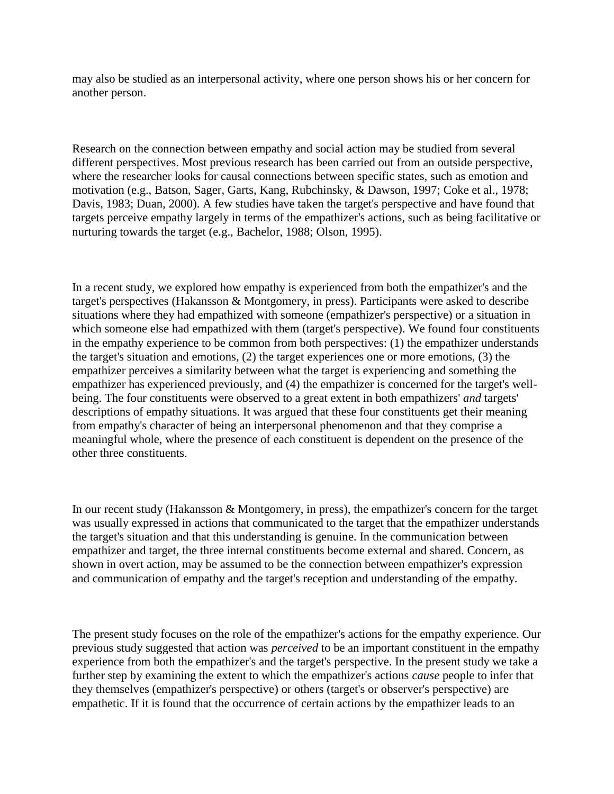may also be studied as an interpersonal activity, where one person shows his or her concern for another person.

Research on the connection between empathy and social action may be studied from several different perspectives. Most previous research has been carried out from an outside perspective, where the researcher looks for causal connections between specific states, such as emotion and motivation (e.g., Batson, Sager, Garts, Kang, Rubchinsky, & Dawson, 1997; Coke et al., 1978; Davis, 1983; Duan, 2000). A few studies have taken the target's perspective and have found that targets perceive empathy largely in terms of the empathizer's actions, such as being facilitative or nurturing towards the target (e.g., Bachelor, 1988; Olson, 1995).

In a recent study, we explored how empathy is experienced from both the empathizer's and the target's perspectives (Hakansson & Montgomery, in press). Participants were asked to describe situations where they had empathized with someone (empathizer's perspective) or a situation in which someone else had empathized with them (target's perspective). We found four constituents in the empathy experience to be common from both perspectives: (1) the empathizer understands the target's situation and emotions, (2) the target experiences one or more emotions, (3) the empathizer perceives a similarity between what the target is experiencing and something the empathizer has experienced previously, and (4) the empathizer is concerned for the target's wellbeing. The four constituents were observed to a great extent in both empathizers' *and* targets' descriptions of empathy situations. It was argued that these four constituents get their meaning from empathy's character of being an interpersonal phenomenon and that they comprise a meaningful whole, where the presence of each constituent is dependent on the presence of the other three constituents.

In our recent study (Hakansson & Montgomery, in press), the empathizer's concern for the target was usually expressed in actions that communicated to the target that the empathizer understands the target's situation and that this understanding is genuine. In the communication between empathizer and target, the three internal constituents become external and shared. Concern, as shown in overt action, may be assumed to be the connection between empathizer's expression and communication of empathy and the target's reception and understanding of the empathy.

The present study focuses on the role of the empathizer's actions for the empathy experience. Our previous study suggested that action was *perceived* to be an important constituent in the empathy experience from both the empathizer's and the target's perspective. In the present study we take a further step by examining the extent to which the empathizer's actions *cause* people to infer that they themselves (empathizer's perspective) or others (target's or observer's perspective) are empathetic. If it is found that the occurrence of certain actions by the empathizer leads to an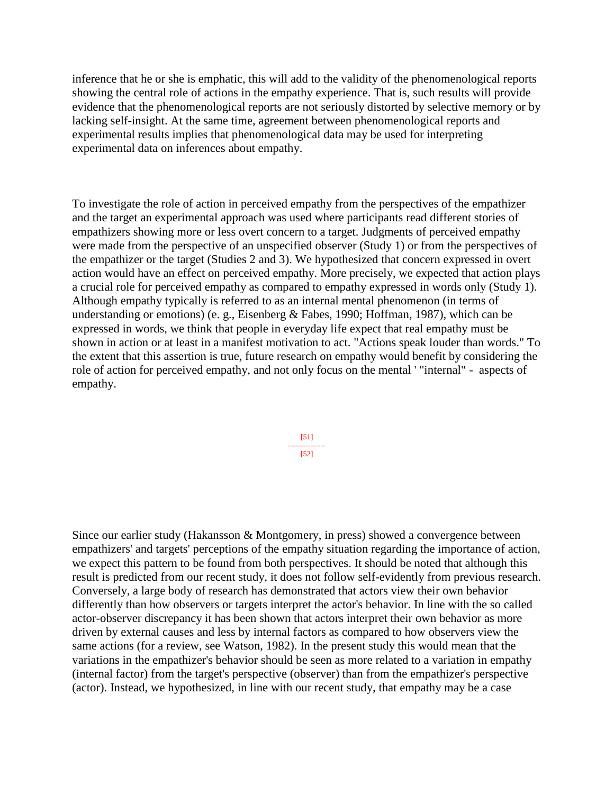inference that he or she is emphatic, this will add to the validity of the phenomenological reports showing the central role of actions in the empathy experience. That is, such results will provide evidence that the phenomenological reports are not seriously distorted by selective memory or by lacking self-insight. At the same time, agreement between phenomenological reports and experimental results implies that phenomenological data may be used for interpreting experimental data on inferences about empathy.

To investigate the role of action in perceived empathy from the perspectives of the empathizer and the target an experimental approach was used where participants read different stories of empathizers showing more or less overt concern to a target. Judgments of perceived empathy were made from the perspective of an unspecified observer (Study 1) or from the perspectives of the empathizer or the target (Studies 2 and 3). We hypothesized that concern expressed in overt action would have an effect on perceived empathy. More precisely, we expected that action plays a crucial role for perceived empathy as compared to empathy expressed in words only (Study 1). Although empathy typically is referred to as an internal mental phenomenon (in terms of understanding or emotions) (e. g., Eisenberg & Fabes, 1990; Hoffman, 1987), which can be expressed in words, we think that people in everyday life expect that real empathy must be shown in action or at least in a manifest motivation to act. "Actions speak louder than words." To the extent that this assertion is true, future research on empathy would benefit by considering the role of action for perceived empathy, and not only focus on the mental ' "internal" - aspects of empathy.

> [51] --------------- [52]

Since our earlier study (Hakansson & Montgomery, in press) showed a convergence between empathizers' and targets' perceptions of the empathy situation regarding the importance of action, we expect this pattern to be found from both perspectives. It should be noted that although this result is predicted from our recent study, it does not follow self-evidently from previous research. Conversely, a large body of research has demonstrated that actors view their own behavior differently than how observers or targets interpret the actor's behavior. In line with the so called actor-observer discrepancy it has been shown that actors interpret their own behavior as more driven by external causes and less by internal factors as compared to how observers view the same actions (for a review, see Watson, 1982). In the present study this would mean that the variations in the empathizer's behavior should be seen as more related to a variation in empathy (internal factor) from the target's perspective (observer) than from the empathizer's perspective (actor). Instead, we hypothesized, in line with our recent study, that empathy may be a case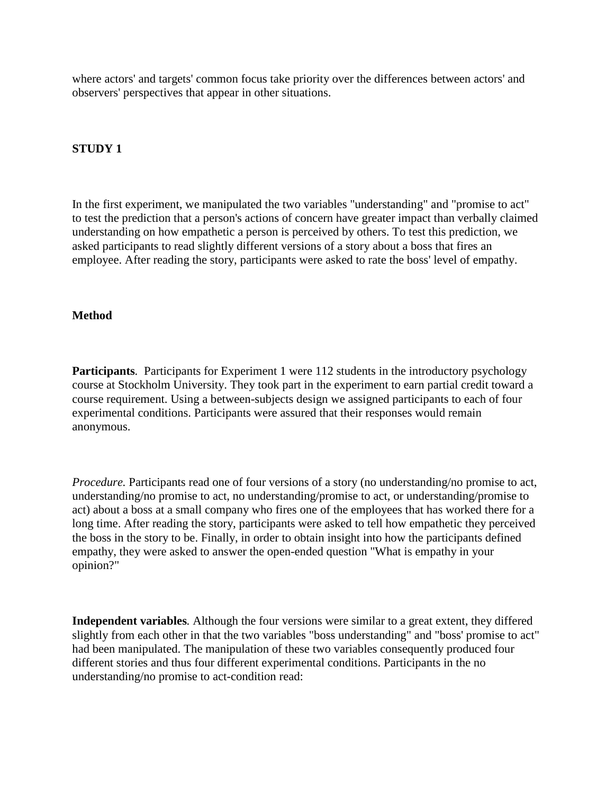where actors' and targets' common focus take priority over the differences between actors' and observers' perspectives that appear in other situations.

# **STUDY 1**

In the first experiment, we manipulated the two variables "understanding" and "promise to act" to test the prediction that a person's actions of concern have greater impact than verbally claimed understanding on how empathetic a person is perceived by others. To test this prediction, we asked participants to read slightly different versions of a story about a boss that fires an employee. After reading the story, participants were asked to rate the boss' level of empathy.

#### **Method**

**Participants***.* Participants for Experiment 1 were 112 students in the introductory psychology course at Stockholm University. They took part in the experiment to earn partial credit toward a course requirement. Using a between-subjects design we assigned participants to each of four experimental conditions. Participants were assured that their responses would remain anonymous.

*Procedure.* Participants read one of four versions of a story (no understanding/no promise to act, understanding/no promise to act, no understanding/promise to act, or understanding/promise to act) about a boss at a small company who fires one of the employees that has worked there for a long time. After reading the story, participants were asked to tell how empathetic they perceived the boss in the story to be. Finally, in order to obtain insight into how the participants defined empathy, they were asked to answer the open-ended question "What is empathy in your opinion?"

**Independent variables***.* Although the four versions were similar to a great extent, they differed slightly from each other in that the two variables "boss understanding" and "boss' promise to act" had been manipulated. The manipulation of these two variables consequently produced four different stories and thus four different experimental conditions. Participants in the no understanding/no promise to act-condition read: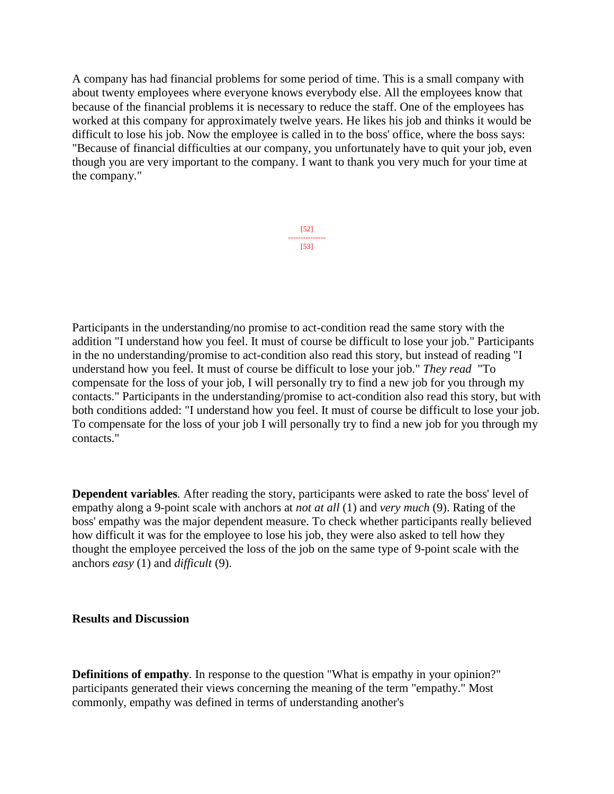A company has had financial problems for some period of time. This is a small company with about twenty employees where everyone knows everybody else. All the employees know that because of the financial problems it is necessary to reduce the staff. One of the employees has worked at this company for approximately twelve years. He likes his job and thinks it would be difficult to lose his job. Now the employee is called in to the boss' office, where the boss says: "Because of financial difficulties at our company, you unfortunately have to quit your job, even though you are very important to the company. I want to thank you very much for your time at the company."

> [52] --------------- [53]

Participants in the understanding/no promise to act-condition read the same story with the addition "I understand how you feel. It must of course be difficult to lose your job." Participants in the no understanding/promise to act-condition also read this story, but instead of reading "I understand how you feel. It must of course be difficult to lose your job." *They read* "To compensate for the loss of your job, I will personally try to find a new job for you through my contacts." Participants in the understanding/promise to act-condition also read this story, but with both conditions added: "I understand how you feel. It must of course be difficult to lose your job. To compensate for the loss of your job I will personally try to find a new job for you through my contacts."

**Dependent variables***.* After reading the story, participants were asked to rate the boss' level of empathy along a 9-point scale with anchors at *not at all* (1) and *very much* (9). Rating of the boss' empathy was the major dependent measure. To check whether participants really believed how difficult it was for the employee to lose his job, they were also asked to tell how they thought the employee perceived the loss of the job on the same type of 9-point scale with the anchors *easy* (1) and *difficult* (9).

#### **Results and Discussion**

**Definitions of empathy***.* In response to the question "What is empathy in your opinion?" participants generated their views concerning the meaning of the term "empathy." Most commonly, empathy was defined in terms of understanding another's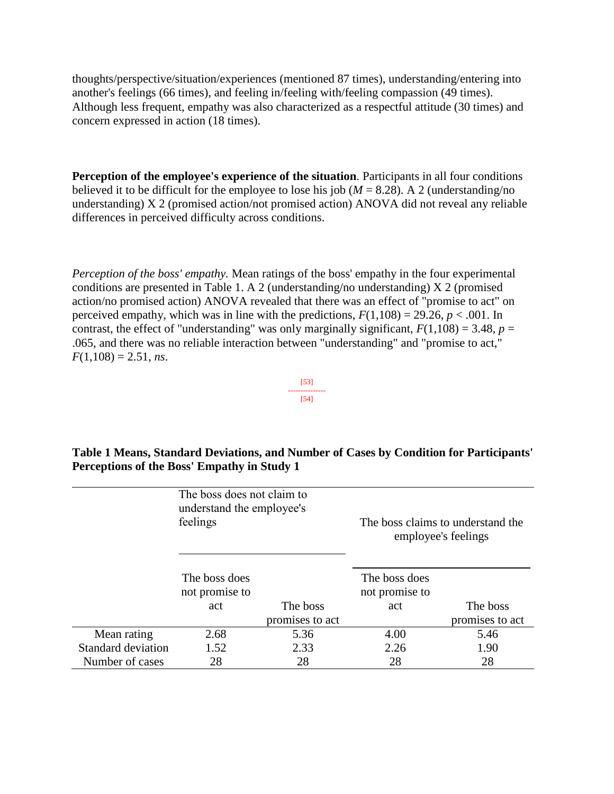thoughts/perspective/situation/experiences (mentioned 87 times), understanding/entering into another's feelings (66 times), and feeling in/feeling with/feeling compassion (49 times). Although less frequent, empathy was also characterized as a respectful attitude (30 times) and concern expressed in action (18 times).

**Perception of the employee's experience of the situation***.* Participants in all four conditions believed it to be difficult for the employee to lose his job ( $M = 8.28$ ). A 2 (understanding/no understanding) X 2 (promised action/not promised action) ANOVA did not reveal any reliable differences in perceived difficulty across conditions.

*Perception of the boss' empathy.* Mean ratings of the boss' empathy in the four experimental conditions are presented in Table 1. A 2 (understanding/no understanding) X 2 (promised action/no promised action) ANOVA revealed that there was an effect of "promise to act" on perceived empathy, which was in line with the predictions,  $F(1,108) = 29.26$ ,  $p < .001$ . In contrast, the effect of "understanding" was only marginally significant,  $F(1,108) = 3.48$ ,  $p =$ .065, and there was no reliable interaction between "understanding" and "promise to act,"  $F(1,108) = 2.51$ , *ns*.



| Table 1 Means, Standard Deviations, and Number of Cases by Condition for Participants' |
|----------------------------------------------------------------------------------------|
| Perceptions of the Boss' Empathy in Study 1                                            |

|                    | The boss does not claim to<br>understand the employee's<br>feelings |                 | The boss claims to understand the<br>employee's feelings |                 |
|--------------------|---------------------------------------------------------------------|-----------------|----------------------------------------------------------|-----------------|
|                    | The boss does<br>not promise to                                     |                 | The boss does<br>not promise to                          |                 |
|                    | act                                                                 | The boss        | act                                                      | The boss        |
|                    |                                                                     | promises to act |                                                          | promises to act |
| Mean rating        | 2.68                                                                | 5.36            | 4.00                                                     | 5.46            |
| Standard deviation | 1.52                                                                | 2.33            | 2.26                                                     | 1.90            |
| Number of cases    | 28                                                                  | 28              | 28                                                       | 28              |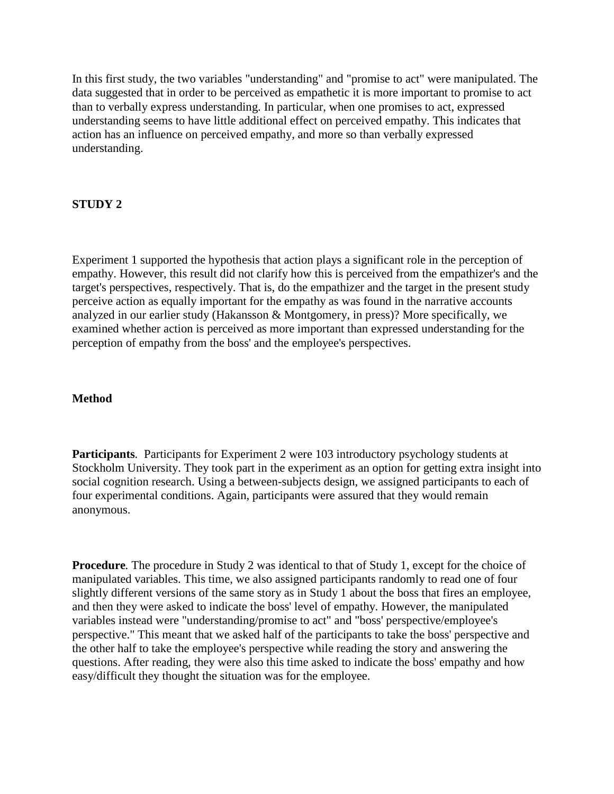In this first study, the two variables "understanding" and "promise to act" were manipulated. The data suggested that in order to be perceived as empathetic it is more important to promise to act than to verbally express understanding. In particular, when one promises to act, expressed understanding seems to have little additional effect on perceived empathy. This indicates that action has an influence on perceived empathy, and more so than verbally expressed understanding.

# **STUDY 2**

Experiment 1 supported the hypothesis that action plays a significant role in the perception of empathy. However, this result did not clarify how this is perceived from the empathizer's and the target's perspectives, respectively. That is, do the empathizer and the target in the present study perceive action as equally important for the empathy as was found in the narrative accounts analyzed in our earlier study (Hakansson & Montgomery, in press)? More specifically, we examined whether action is perceived as more important than expressed understanding for the perception of empathy from the boss' and the employee's perspectives.

## **Method**

**Participants***.* Participants for Experiment 2 were 103 introductory psychology students at Stockholm University. They took part in the experiment as an option for getting extra insight into social cognition research. Using a between-subjects design, we assigned participants to each of four experimental conditions. Again, participants were assured that they would remain anonymous.

**Procedure***.* The procedure in Study 2 was identical to that of Study 1, except for the choice of manipulated variables. This time, we also assigned participants randomly to read one of four slightly different versions of the same story as in Study 1 about the boss that fires an employee, and then they were asked to indicate the boss' level of empathy. However, the manipulated variables instead were "understanding/promise to act" and "boss' perspective/employee's perspective." This meant that we asked half of the participants to take the boss' perspective and the other half to take the employee's perspective while reading the story and answering the questions. After reading, they were also this time asked to indicate the boss' empathy and how easy/difficult they thought the situation was for the employee.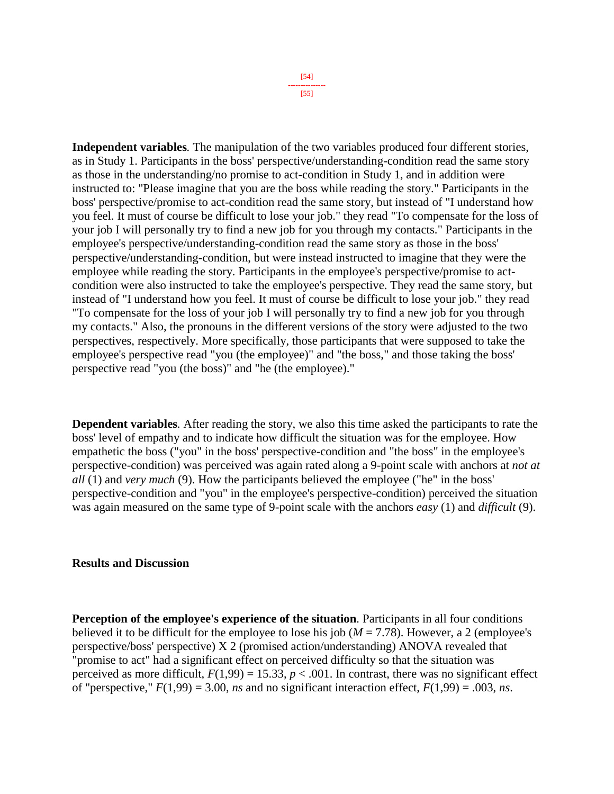**Independent variables***.* The manipulation of the two variables produced four different stories, as in Study 1. Participants in the boss' perspective/understanding-condition read the same story as those in the understanding/no promise to act-condition in Study 1, and in addition were instructed to: "Please imagine that you are the boss while reading the story." Participants in the boss' perspective/promise to act-condition read the same story, but instead of "I understand how you feel. It must of course be difficult to lose your job." they read "To compensate for the loss of your job I will personally try to find a new job for you through my contacts." Participants in the employee's perspective/understanding-condition read the same story as those in the boss' perspective/understanding-condition, but were instead instructed to imagine that they were the employee while reading the story. Participants in the employee's perspective/promise to actcondition were also instructed to take the employee's perspective. They read the same story, but instead of "I understand how you feel. It must of course be difficult to lose your job." they read "To compensate for the loss of your job I will personally try to find a new job for you through my contacts." Also, the pronouns in the different versions of the story were adjusted to the two perspectives, respectively. More specifically, those participants that were supposed to take the employee's perspective read "you (the employee)" and "the boss," and those taking the boss' perspective read "you (the boss)" and "he (the employee)."

**Dependent variables***.* After reading the story, we also this time asked the participants to rate the boss' level of empathy and to indicate how difficult the situation was for the employee. How empathetic the boss ("you" in the boss' perspective-condition and "the boss" in the employee's perspective-condition) was perceived was again rated along a 9-point scale with anchors at *not at all* (1) and *very much* (9). How the participants believed the employee ("he" in the boss' perspective-condition and "you" in the employee's perspective-condition) perceived the situation was again measured on the same type of 9-point scale with the anchors *easy* (1) and *difficult* (9).

#### **Results and Discussion**

**Perception of the employee's experience of the situation***.* Participants in all four conditions believed it to be difficult for the employee to lose his job ( $M = 7.78$ ). However, a 2 (employee's perspective/boss' perspective) X 2 (promised action/understanding) ANOVA revealed that "promise to act" had a significant effect on perceived difficulty so that the situation was perceived as more difficult,  $F(1,99) = 15.33$ ,  $p < .001$ . In contrast, there was no significant effect of "perspective,"  $F(1,99) = 3.00$ , *ns* and no significant interaction effect,  $F(1,99) = .003$ , *ns*.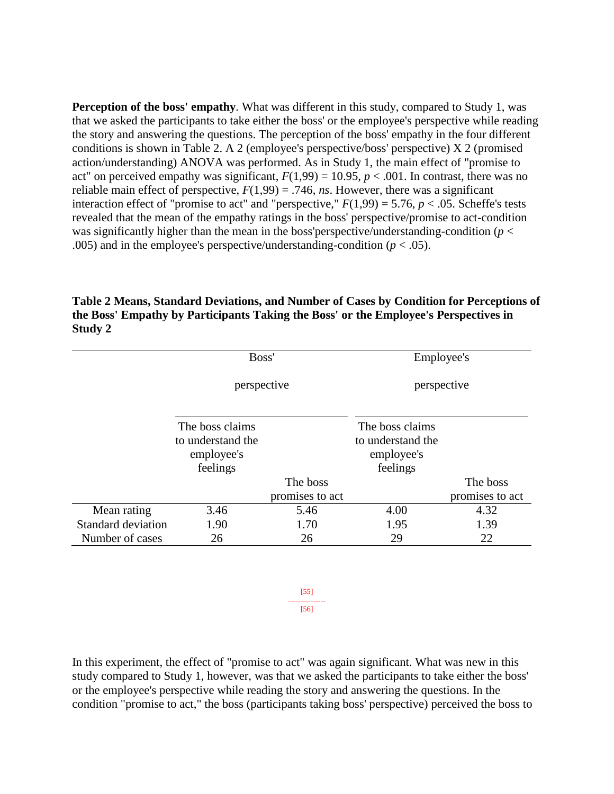**Perception of the boss' empathy***.* What was different in this study, compared to Study 1, was that we asked the participants to take either the boss' or the employee's perspective while reading the story and answering the questions. The perception of the boss' empathy in the four different conditions is shown in Table 2. A 2 (employee's perspective/boss' perspective) X 2 (promised action/understanding) ANOVA was performed. As in Study 1, the main effect of "promise to act" on perceived empathy was significant,  $F(1,99) = 10.95$ ,  $p < .001$ . In contrast, there was no reliable main effect of perspective,  $F(1,99) = .746$ , *ns*. However, there was a significant interaction effect of "promise to act" and "perspective,"  $F(1,99) = 5.76$ ,  $p < .05$ . Scheffe's tests revealed that the mean of the empathy ratings in the boss' perspective/promise to act-condition was significantly higher than the mean in the boss'perspective/understanding-condition (*p* < .005) and in the employee's perspective/understanding-condition  $(p < .05)$ .

# **Table 2 Means, Standard Deviations, and Number of Cases by Condition for Perceptions of the Boss' Empathy by Participants Taking the Boss' or the Employee's Perspectives in Study 2**

|                    | Boss'<br>perspective                                           |                 | Employee's<br>perspective                                      |                 |
|--------------------|----------------------------------------------------------------|-----------------|----------------------------------------------------------------|-----------------|
|                    |                                                                |                 |                                                                |                 |
|                    | The boss claims<br>to understand the<br>employee's<br>feelings |                 | The boss claims<br>to understand the<br>employee's<br>feelings |                 |
|                    |                                                                | The boss        |                                                                | The boss        |
|                    |                                                                | promises to act |                                                                | promises to act |
| Mean rating        | 3.46                                                           | 5.46            | 4.00                                                           | 4.32            |
| Standard deviation | 1.90                                                           | 1.70            | 1.95                                                           | 1.39            |
| Number of cases    | 26                                                             | 26              | 29                                                             | 22              |

[55] --------------- [56]

In this experiment, the effect of "promise to act" was again significant. What was new in this study compared to Study 1, however, was that we asked the participants to take either the boss' or the employee's perspective while reading the story and answering the questions. In the condition "promise to act," the boss (participants taking boss' perspective) perceived the boss to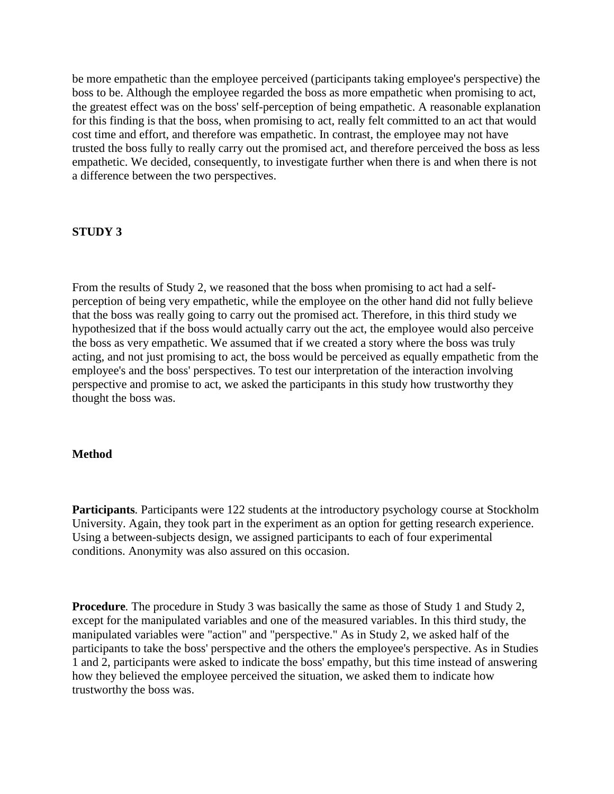be more empathetic than the employee perceived (participants taking employee's perspective) the boss to be. Although the employee regarded the boss as more empathetic when promising to act, the greatest effect was on the boss' self-perception of being empathetic. A reasonable explanation for this finding is that the boss, when promising to act, really felt committed to an act that would cost time and effort, and therefore was empathetic. In contrast, the employee may not have trusted the boss fully to really carry out the promised act, and therefore perceived the boss as less empathetic. We decided, consequently, to investigate further when there is and when there is not a difference between the two perspectives.

## **STUDY 3**

From the results of Study 2, we reasoned that the boss when promising to act had a selfperception of being very empathetic, while the employee on the other hand did not fully believe that the boss was really going to carry out the promised act. Therefore, in this third study we hypothesized that if the boss would actually carry out the act, the employee would also perceive the boss as very empathetic. We assumed that if we created a story where the boss was truly acting, and not just promising to act, the boss would be perceived as equally empathetic from the employee's and the boss' perspectives. To test our interpretation of the interaction involving perspective and promise to act, we asked the participants in this study how trustworthy they thought the boss was.

# **Method**

**Participants***.* Participants were 122 students at the introductory psychology course at Stockholm University. Again, they took part in the experiment as an option for getting research experience. Using a between-subjects design, we assigned participants to each of four experimental conditions. Anonymity was also assured on this occasion.

**Procedure***.* The procedure in Study 3 was basically the same as those of Study 1 and Study 2, except for the manipulated variables and one of the measured variables. In this third study, the manipulated variables were "action" and "perspective." As in Study 2, we asked half of the participants to take the boss' perspective and the others the employee's perspective. As in Studies 1 and 2, participants were asked to indicate the boss' empathy, but this time instead of answering how they believed the employee perceived the situation, we asked them to indicate how trustworthy the boss was.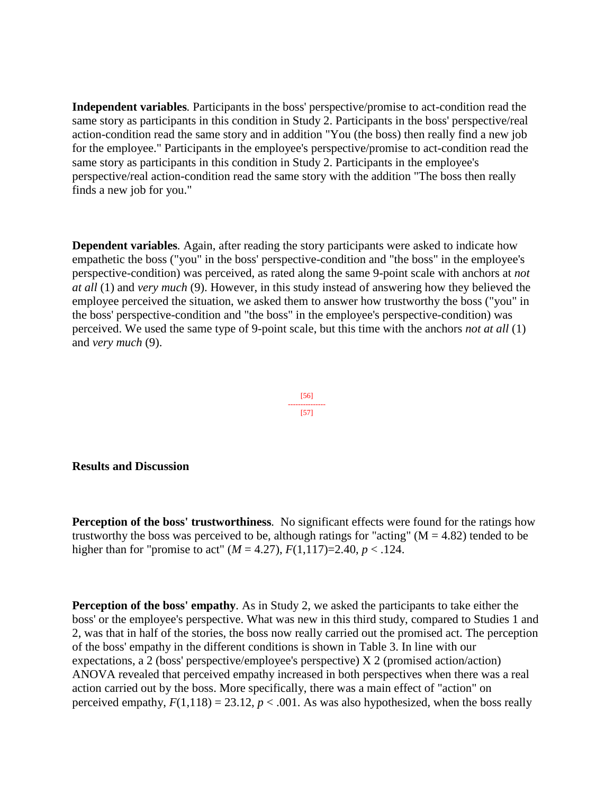**Independent variables***.* Participants in the boss' perspective/promise to act-condition read the same story as participants in this condition in Study 2. Participants in the boss' perspective/real action-condition read the same story and in addition "You (the boss) then really find a new job for the employee." Participants in the employee's perspective/promise to act-condition read the same story as participants in this condition in Study 2. Participants in the employee's perspective/real action-condition read the same story with the addition "The boss then really finds a new job for you."

**Dependent variables***.* Again, after reading the story participants were asked to indicate how empathetic the boss ("you" in the boss' perspective-condition and "the boss" in the employee's perspective-condition) was perceived, as rated along the same 9-point scale with anchors at *not at all* (1) and *very much* (9). However, in this study instead of answering how they believed the employee perceived the situation, we asked them to answer how trustworthy the boss ("you" in the boss' perspective-condition and "the boss" in the employee's perspective-condition) was perceived. We used the same type of 9-point scale, but this time with the anchors *not at all* (1) and *very much* (9).

#### [56] --------------- [57]

#### **Results and Discussion**

**Perception of the boss' trustworthiness***.* No significant effects were found for the ratings how trustworthy the boss was perceived to be, although ratings for "acting" ( $M = 4.82$ ) tended to be higher than for "promise to act"  $(M = 4.27)$ ,  $F(1,117)=2.40$ ,  $p < .124$ .

**Perception of the boss' empathy***.* As in Study 2, we asked the participants to take either the boss' or the employee's perspective. What was new in this third study, compared to Studies 1 and 2, was that in half of the stories, the boss now really carried out the promised act. The perception of the boss' empathy in the different conditions is shown in Table 3. In line with our expectations, a 2 (boss' perspective/employee's perspective) X 2 (promised action/action) ANOVA revealed that perceived empathy increased in both perspectives when there was a real action carried out by the boss. More specifically, there was a main effect of "action" on perceived empathy,  $F(1,118) = 23.12$ ,  $p < .001$ . As was also hypothesized, when the boss really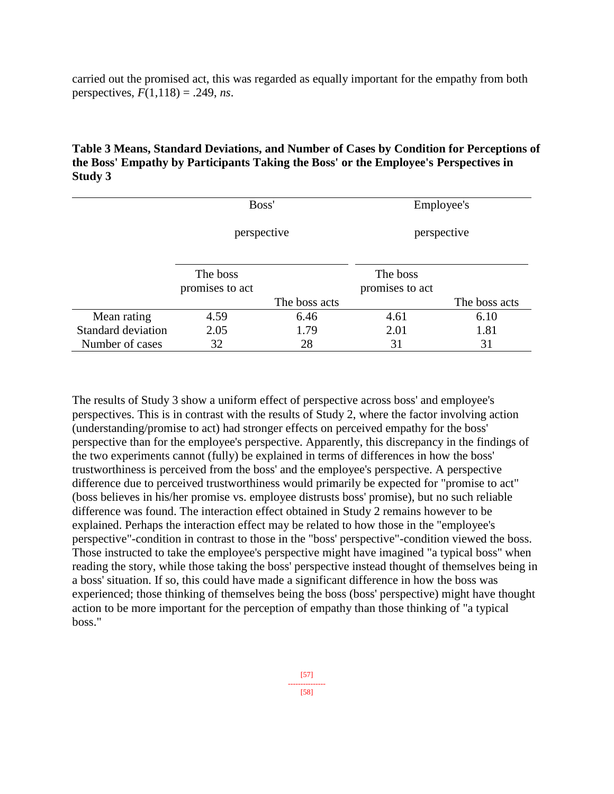carried out the promised act, this was regarded as equally important for the empathy from both perspectives,  $F(1,118) = .249$ , *ns*.

| Table 3 Means, Standard Deviations, and Number of Cases by Condition for Perceptions of |
|-----------------------------------------------------------------------------------------|
| the Boss' Empathy by Participants Taking the Boss' or the Employee's Perspectives in    |
| Study 3                                                                                 |

|                           | Boss'                       |               | Employee's                  |               |
|---------------------------|-----------------------------|---------------|-----------------------------|---------------|
|                           | perspective                 |               | perspective                 |               |
|                           | The boss<br>promises to act |               | The boss<br>promises to act |               |
|                           |                             | The boss acts |                             | The boss acts |
| Mean rating               | 4.59                        | 6.46          | 4.61                        | 6.10          |
| <b>Standard deviation</b> | 2.05                        | 1.79          | 2.01                        | 1.81          |
| Number of cases           | 32                          | 28            | 31                          | 31            |

The results of Study 3 show a uniform effect of perspective across boss' and employee's perspectives. This is in contrast with the results of Study 2, where the factor involving action (understanding/promise to act) had stronger effects on perceived empathy for the boss' perspective than for the employee's perspective. Apparently, this discrepancy in the findings of the two experiments cannot (fully) be explained in terms of differences in how the boss' trustworthiness is perceived from the boss' and the employee's perspective. A perspective difference due to perceived trustworthiness would primarily be expected for "promise to act" (boss believes in his/her promise vs. employee distrusts boss' promise), but no such reliable difference was found. The interaction effect obtained in Study 2 remains however to be explained. Perhaps the interaction effect may be related to how those in the "employee's perspective"-condition in contrast to those in the "boss' perspective"-condition viewed the boss. Those instructed to take the employee's perspective might have imagined "a typical boss" when reading the story, while those taking the boss' perspective instead thought of themselves being in a boss' situation. If so, this could have made a significant difference in how the boss was experienced; those thinking of themselves being the boss (boss' perspective) might have thought action to be more important for the perception of empathy than those thinking of "a typical boss."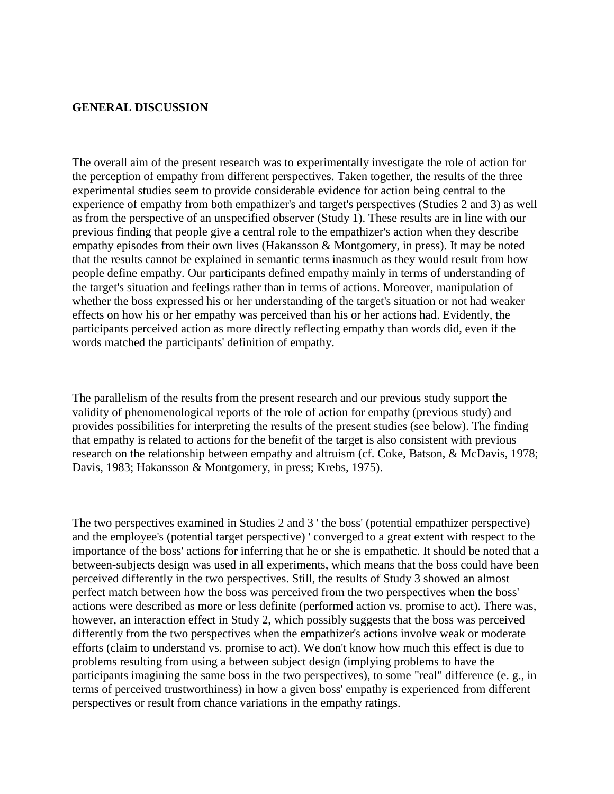#### **GENERAL DISCUSSION**

The overall aim of the present research was to experimentally investigate the role of action for the perception of empathy from different perspectives. Taken together, the results of the three experimental studies seem to provide considerable evidence for action being central to the experience of empathy from both empathizer's and target's perspectives (Studies 2 and 3) as well as from the perspective of an unspecified observer (Study 1). These results are in line with our previous finding that people give a central role to the empathizer's action when they describe empathy episodes from their own lives (Hakansson & Montgomery, in press). It may be noted that the results cannot be explained in semantic terms inasmuch as they would result from how people define empathy. Our participants defined empathy mainly in terms of understanding of the target's situation and feelings rather than in terms of actions. Moreover, manipulation of whether the boss expressed his or her understanding of the target's situation or not had weaker effects on how his or her empathy was perceived than his or her actions had. Evidently, the participants perceived action as more directly reflecting empathy than words did, even if the words matched the participants' definition of empathy.

The parallelism of the results from the present research and our previous study support the validity of phenomenological reports of the role of action for empathy (previous study) and provides possibilities for interpreting the results of the present studies (see below). The finding that empathy is related to actions for the benefit of the target is also consistent with previous research on the relationship between empathy and altruism (cf. Coke, Batson, & McDavis, 1978; Davis, 1983; Hakansson & Montgomery, in press; Krebs, 1975).

The two perspectives examined in Studies 2 and 3 ' the boss' (potential empathizer perspective) and the employee's (potential target perspective) ' converged to a great extent with respect to the importance of the boss' actions for inferring that he or she is empathetic. It should be noted that a between-subjects design was used in all experiments, which means that the boss could have been perceived differently in the two perspectives. Still, the results of Study 3 showed an almost perfect match between how the boss was perceived from the two perspectives when the boss' actions were described as more or less definite (performed action vs. promise to act). There was, however, an interaction effect in Study 2, which possibly suggests that the boss was perceived differently from the two perspectives when the empathizer's actions involve weak or moderate efforts (claim to understand vs. promise to act). We don't know how much this effect is due to problems resulting from using a between subject design (implying problems to have the participants imagining the same boss in the two perspectives), to some "real" difference (e. g., in terms of perceived trustworthiness) in how a given boss' empathy is experienced from different perspectives or result from chance variations in the empathy ratings.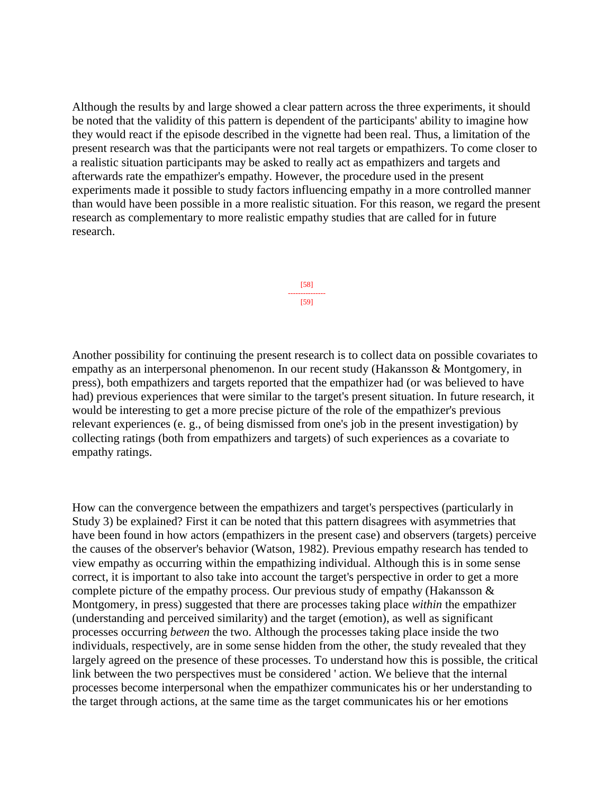Although the results by and large showed a clear pattern across the three experiments, it should be noted that the validity of this pattern is dependent of the participants' ability to imagine how they would react if the episode described in the vignette had been real. Thus, a limitation of the present research was that the participants were not real targets or empathizers. To come closer to a realistic situation participants may be asked to really act as empathizers and targets and afterwards rate the empathizer's empathy. However, the procedure used in the present experiments made it possible to study factors influencing empathy in a more controlled manner than would have been possible in a more realistic situation. For this reason, we regard the present research as complementary to more realistic empathy studies that are called for in future research.

> [58] --------------- [59]

Another possibility for continuing the present research is to collect data on possible covariates to empathy as an interpersonal phenomenon. In our recent study (Hakansson & Montgomery, in press), both empathizers and targets reported that the empathizer had (or was believed to have had) previous experiences that were similar to the target's present situation. In future research, it would be interesting to get a more precise picture of the role of the empathizer's previous relevant experiences (e. g., of being dismissed from one's job in the present investigation) by collecting ratings (both from empathizers and targets) of such experiences as a covariate to empathy ratings.

How can the convergence between the empathizers and target's perspectives (particularly in Study 3) be explained? First it can be noted that this pattern disagrees with asymmetries that have been found in how actors (empathizers in the present case) and observers (targets) perceive the causes of the observer's behavior (Watson, 1982). Previous empathy research has tended to view empathy as occurring within the empathizing individual. Although this is in some sense correct, it is important to also take into account the target's perspective in order to get a more complete picture of the empathy process. Our previous study of empathy (Hakansson & Montgomery, in press) suggested that there are processes taking place *within* the empathizer (understanding and perceived similarity) and the target (emotion), as well as significant processes occurring *between* the two. Although the processes taking place inside the two individuals, respectively, are in some sense hidden from the other, the study revealed that they largely agreed on the presence of these processes. To understand how this is possible, the critical link between the two perspectives must be considered ' action. We believe that the internal processes become interpersonal when the empathizer communicates his or her understanding to the target through actions, at the same time as the target communicates his or her emotions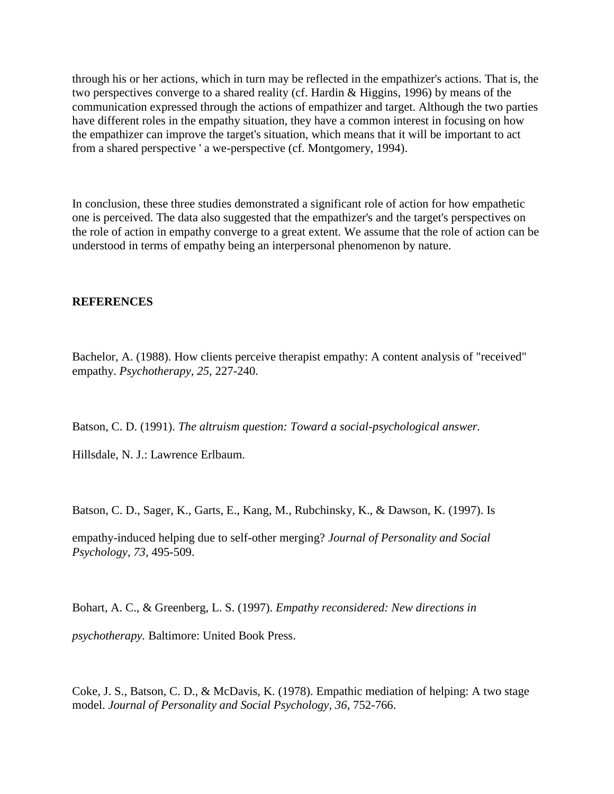through his or her actions, which in turn may be reflected in the empathizer's actions. That is, the two perspectives converge to a shared reality (cf. Hardin & Higgins, 1996) by means of the communication expressed through the actions of empathizer and target. Although the two parties have different roles in the empathy situation, they have a common interest in focusing on how the empathizer can improve the target's situation, which means that it will be important to act from a shared perspective ' a we-perspective (cf. Montgomery, 1994).

In conclusion, these three studies demonstrated a significant role of action for how empathetic one is perceived. The data also suggested that the empathizer's and the target's perspectives on the role of action in empathy converge to a great extent. We assume that the role of action can be understood in terms of empathy being an interpersonal phenomenon by nature.

#### **REFERENCES**

Bachelor, A. (1988). How clients perceive therapist empathy: A content analysis of "received" empathy. *Psychotherapy, 25,* 227-240.

Batson, C. D. (1991). *The altruism question: Toward a social-psychological answer.*

Hillsdale, N. J.: Lawrence Erlbaum.

Batson, C. D., Sager, K., Garts, E., Kang, M., Rubchinsky, K., & Dawson, K. (1997). Is

empathy-induced helping due to self-other merging? *Journal of Personality and Social Psychology, 73,* 495-509.

Bohart, A. C., & Greenberg, L. S. (1997). *Empathy reconsidered: New directions in* 

*psychotherapy.* Baltimore: United Book Press.

Coke, J. S., Batson, C. D., & McDavis, K. (1978). Empathic mediation of helping: A two stage model. *Journal of Personality and Social Psychology, 36*, 752-766.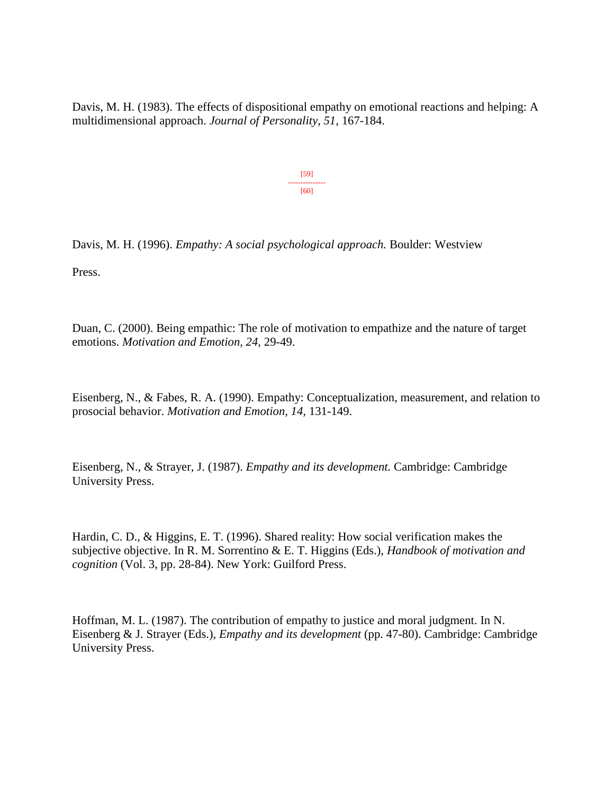Davis, M. H. (1983). The effects of dispositional empathy on emotional reactions and helping: A multidimensional approach. *Journal of Personality, 51*, 167-184.

> [59] --------------- [60]

Davis, M. H. (1996). *Empathy: A social psychological approach.* Boulder: Westview

Press.

Duan, C. (2000). Being empathic: The role of motivation to empathize and the nature of target emotions. *Motivation and Emotion, 24,* 29-49.

Eisenberg, N., & Fabes, R. A. (1990). Empathy: Conceptualization, measurement, and relation to prosocial behavior. *Motivation and Emotion, 14,* 131-149.

Eisenberg, N., & Strayer, J. (1987). *Empathy and its development.* Cambridge: Cambridge University Press.

Hardin, C. D., & Higgins, E. T. (1996). Shared reality: How social verification makes the subjective objective. In R. M. Sorrentino & E. T. Higgins (Eds.), *Handbook of motivation and cognition* (Vol. 3, pp. 28-84). New York: Guilford Press.

Hoffman, M. L. (1987). The contribution of empathy to justice and moral judgment. In N. Eisenberg & J. Strayer (Eds.), *Empathy and its development* (pp. 47-80). Cambridge: Cambridge University Press.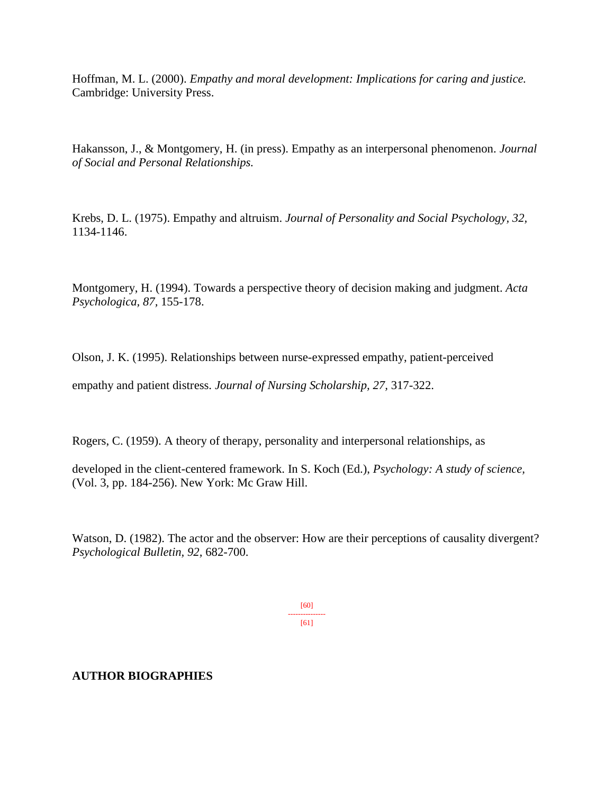Hoffman, M. L. (2000). *Empathy and moral development: Implications for caring and justice.* Cambridge: University Press.

Hakansson, J., & Montgomery, H. (in press). Empathy as an interpersonal phenomenon. *Journal of Social and Personal Relationships.*

Krebs, D. L. (1975). Empathy and altruism. *Journal of Personality and Social Psychology, 32,* 1134-1146.

Montgomery, H. (1994). Towards a perspective theory of decision making and judgment. *Acta Psychologica, 87,* 155-178.

Olson, J. K. (1995). Relationships between nurse-expressed empathy, patient-perceived

empathy and patient distress. *Journal of Nursing Scholarship, 27,* 317-322.

Rogers, C. (1959). A theory of therapy, personality and interpersonal relationships, as

developed in the client-centered framework. In S. Koch (Ed.), *Psychology: A study of science,* (Vol. 3, pp. 184-256). New York: Mc Graw Hill.

Watson, D. (1982). The actor and the observer: How are their perceptions of causality divergent? *Psychological Bulletin, 92,* 682-700.

> [60] --------------- [61]

## **AUTHOR BIOGRAPHIES**